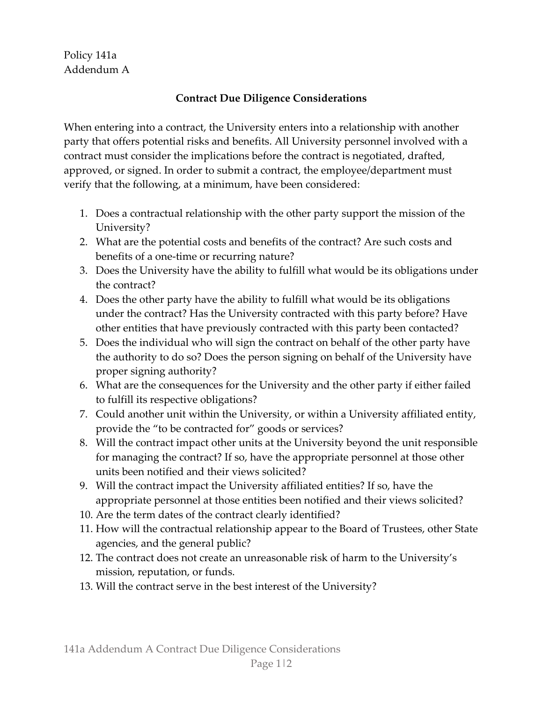## Policy 141a Addendum A

## **Contract Due Diligence Considerations**

When entering into a contract, the University enters into a relationship with another party that offers potential risks and benefits. All University personnel involved with a contract must consider the implications before the contract is negotiated, drafted, approved, or signed. In order to submit a contract, the employee/department must verify that the following, at a minimum, have been considered:

- 1. Does a contractual relationship with the other party support the mission of the University?
- 2. What are the potential costs and benefits of the contract? Are such costs and benefits of a one-time or recurring nature?
- 3. Does the University have the ability to fulfill what would be its obligations under the contract?
- 4. Does the other party have the ability to fulfill what would be its obligations under the contract? Has the University contracted with this party before? Have other entities that have previously contracted with this party been contacted?
- 5. Does the individual who will sign the contract on behalf of the other party have the authority to do so? Does the person signing on behalf of the University have proper signing authority?
- 6. What are the consequences for the University and the other party if either failed to fulfill its respective obligations?
- 7. Could another unit within the University, or within a University affiliated entity, provide the "to be contracted for" goods or services?
- 8. Will the contract impact other units at the University beyond the unit responsible for managing the contract? If so, have the appropriate personnel at those other units been notified and their views solicited?
- 9. Will the contract impact the University affiliated entities? If so, have the appropriate personnel at those entities been notified and their views solicited?
- 10. Are the term dates of the contract clearly identified?
- 11. How will the contractual relationship appear to the Board of Trustees, other State agencies, and the general public?
- 12. The contract does not create an unreasonable risk of harm to the University's mission, reputation, or funds.
- 13. Will the contract serve in the best interest of the University?